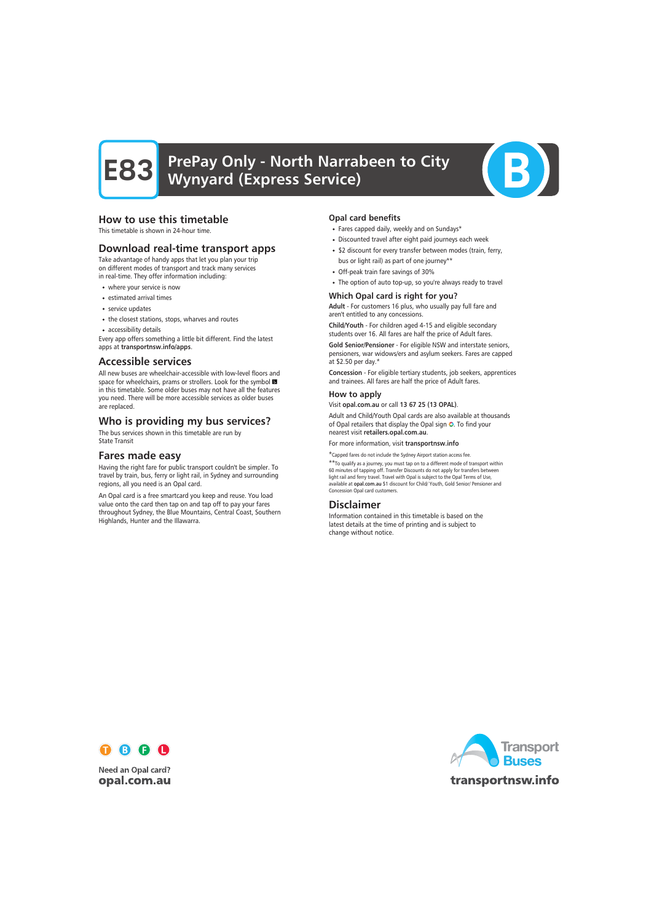# PrePay Only - North Narrabeen to City Wynyard (Express Service)



# How to use this timetable

This timetable is shown in 24-hour time.

## Download real-time transport apps

Take advantage of handy apps that let you plan your trip on different modes of transport and track many services in real-time. They offer information including:

- where your service is now
- estimated arrival times
- service updates
- the closest stations, stops, wharves and routes
- accessibility details

Every app offers something a little bit different. Find the latest apps at transportnsw.info/apps.

## Accessible services

All new buses are wheelchair-accessible with low-level floors and space for wheelchairs, prams or strollers. Look for the symbol in this timetable. Some older buses may not have all the features you need. There will be more accessible services as older buses are replaced.

# Who is providing my bus services?

The bus services shown in this timetable are run by State Transit

## Fares made easy

Having the right fare for public transport couldn't be simpler. To travel by train, bus, ferry or light rail, in Sydney and surrounding regions, all you need is an Opal card.

An Opal card is a free smartcard you keep and reuse. You load value onto the card then tap on and tap off to pay your fares throughout Sydney, the Blue Mountains, Central Coast, Southern Highlands, Hunter and the Illawarra.

#### Opal card benefits

- Fares capped daily, weekly and on Sundays\*
- Discounted travel after eight paid journeys each week
- \$2 discount for every transfer between modes (train, ferry, bus or light rail) as part of one journey\*\*
- Off-peak train fare savings of 30%
- The option of auto top-up, so you're always ready to travel

#### Which Opal card is right for you?

Adult - For customers 16 plus, who usually pay full fare and aren't entitled to any concessions.

Child/Youth - For children aged 4-15 and eligible secondary students over 16. All fares are half the price of Adult fares.

Gold Senior/Pensioner - For eligible NSW and interstate seniors, pensioners, war widows/ers and asylum seekers. Fares are capped at \$2.50 per day.\*

Concession - For eligible tertiary students, job seekers, apprentices and trainees. All fares are half the price of Adult fares.

#### How to apply

Visit opal.com.au or call 13 67 25 (13 OPAL).

Adult and Child/Youth Opal cards are also available at thousands of Opal retailers that display the Opal sign O. To find your nearest visit retailers.opal.com.au.

For more information, visit transportnsw.info

\*Capped fares do not include the Sydney Airport station access fee.

\*\*To qualify as a journey, you must tap on to a different mode of transport within 60 minutes of tapping off. Transfer Discounts do not apply for transfers between light rail and ferry travel. Travel with Opal is subject to the Opal Terms of Use, available at opal.com.au \$1 discount for Child/ Youth, Gold Senior/ Pensioner and Concession Opal card customers.

## Disclaimer

Information contained in this timetable is based on the latest details at the time of printing and is subject to change without notice.



**Need an Opal card?** opal.com.au

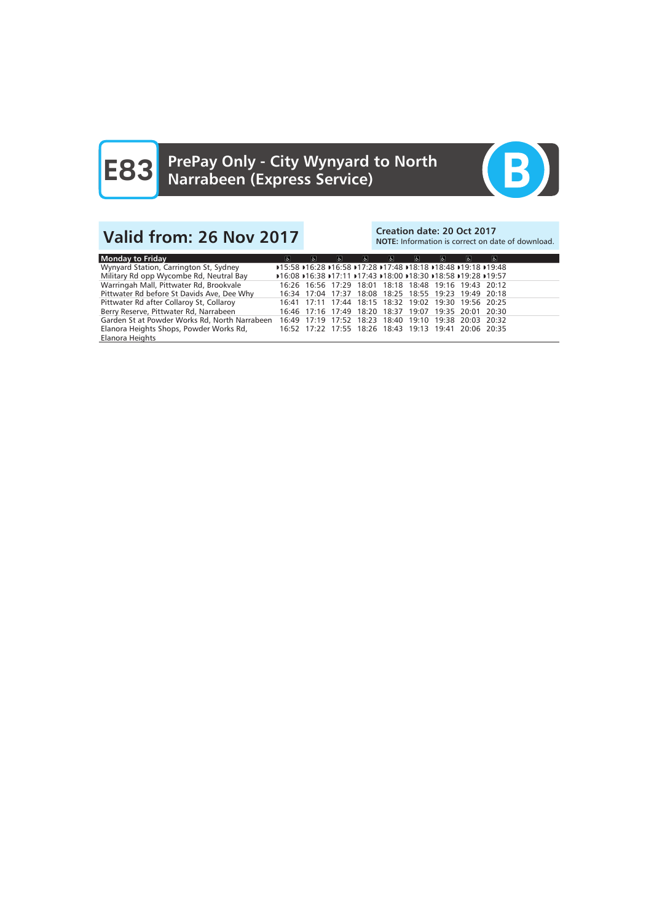

# Valid from: 26 Nov 2017<br>Note: Information is correct on date: 20 Oct 2017

# NOTE: Information is correct on date of download.

| Monday to Friday                              | $\sigma$                                              | $\mathbf{r}$ | $\mathbf{r}$                                                   | $ \mathbf{e} $ | $\sigma$ | $\Delta$ | -6.1 | Ġ. | $\mathbf{r}$ |
|-----------------------------------------------|-------------------------------------------------------|--------------|----------------------------------------------------------------|----------------|----------|----------|------|----|--------------|
| Wynyard Station, Carrington St, Sydney        |                                                       |              | ▶15:58 ▶16:28 ▶16:58 ▶17:28 ▶17:48 ▶18:18 ▶18:48 ▶19:18 ▶19:48 |                |          |          |      |    |              |
| Military Rd opp Wycombe Rd, Neutral Bay       |                                                       |              | ▶16:08 ▶16:38 ▶17:11 ▶17:43 ▶18:00 ▶18:30 ▶18:58 ▶19:28 ▶19:57 |                |          |          |      |    |              |
| Warringah Mall, Pittwater Rd, Brookvale       |                                                       |              | 16:26 16:56 17:29 18:01 18:18 18:48 19:16 19:43 20:12          |                |          |          |      |    |              |
| Pittwater Rd before St Davids Ave, Dee Why    |                                                       |              | 16:34 17:04 17:37 18:08 18:25 18:55 19:23 19:49 20:18          |                |          |          |      |    |              |
| Pittwater Rd after Collaroy St, Collaroy      |                                                       |              | 16:41 17:11 17:44 18:15 18:32 19:02 19:30 19:56 20:25          |                |          |          |      |    |              |
| Berry Reserve, Pittwater Rd, Narrabeen        |                                                       |              | 16:46 17:16 17:49 18:20 18:37 19:07 19:35 20:01 20:30          |                |          |          |      |    |              |
| Garden St at Powder Works Rd, North Narrabeen | 16:49 17:19 17:52 18:23 18:40 19:10 19:38 20:03 20:32 |              |                                                                |                |          |          |      |    |              |
| Elanora Heights Shops, Powder Works Rd,       |                                                       |              | 16:52 17:22 17:55 18:26 18:43 19:13 19:41 20:06 20:35          |                |          |          |      |    |              |
| Elanora Heights                               |                                                       |              |                                                                |                |          |          |      |    |              |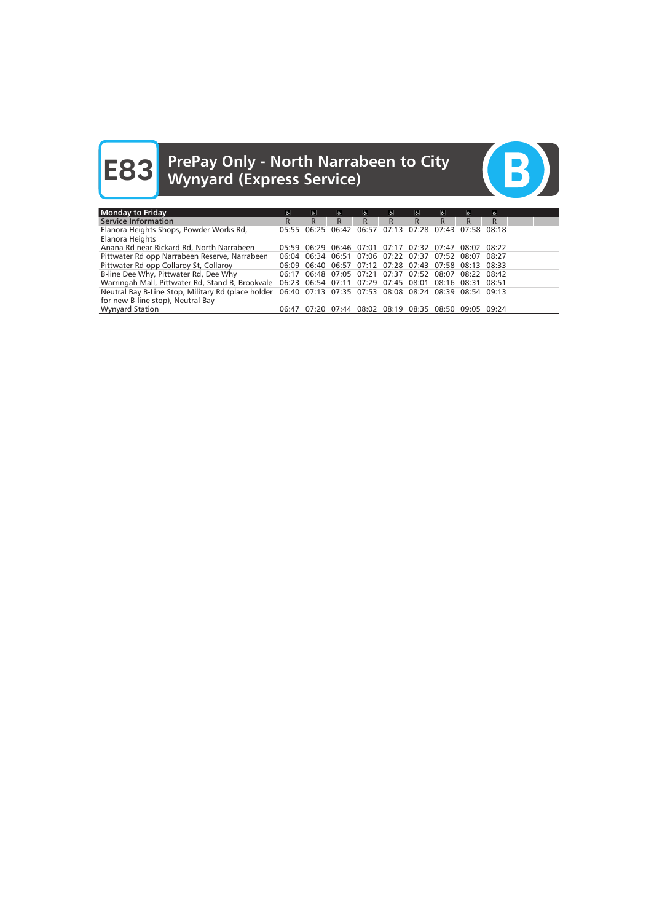# **E83** PrePay Only - North Narrabeen to City<br>
Wynyard (Express Service)



| Monday to Friday                                                                                                                              | $\sigma$ | le.                                                   | I&I                           | $\mathbf{F}$ | $\sigma$ | 6.                            | $\sigma$ | $\sigma$        | $\sigma$ |  |
|-----------------------------------------------------------------------------------------------------------------------------------------------|----------|-------------------------------------------------------|-------------------------------|--------------|----------|-------------------------------|----------|-----------------|----------|--|
| <b>Service Information</b>                                                                                                                    | R.       | R.                                                    | R.                            | R.           | R        | R                             | R        | R               | R.       |  |
| Elanora Heights Shops, Powder Works Rd,<br>Elanora Heights                                                                                    |          | 05:55 06:25 06:42 06:57 07:13 07:28 07:43             |                               |              |          |                               |          | $07:58$ $08:18$ |          |  |
| Anana Rd near Rickard Rd, North Narrabeen                                                                                                     |          | 05:59 06:29                                           | 06:46 07:01 07:17 07:32 07:47 |              |          |                               |          | $08:02$ $08:22$ |          |  |
| Pittwater Rd opp Narrabeen Reserve, Narrabeen                                                                                                 |          | 06:04 06:34 06:51 07:06 07:22 07:37 07:52             |                               |              |          |                               |          | 08:07 08:27     |          |  |
| Pittwater Rd opp Collaroy St, Collaroy                                                                                                        |          | 06:09 06:40 06:57 07:12 07:28 07:43 07:58 08:13 08:33 |                               |              |          |                               |          |                 |          |  |
| B-line Dee Why, Pittwater Rd, Dee Why                                                                                                         |          | 06:17 06:48 07:05 07:21 07:37 07:52 08:07             |                               |              |          |                               |          | 08:22 08:42     |          |  |
| Warringah Mall, Pittwater Rd, Stand B, Brookvale 06:23 06:54 07:11 07:29 07:45 08:01 08:16 08:31 08:51                                        |          |                                                       |                               |              |          |                               |          |                 |          |  |
| Neutral Bay B-Line Stop, Military Rd (place holder 06:40 07:13 07:35 07:53 08:08 08:24 08:39 08:54 09:13<br>for new B-line stop), Neutral Bay |          |                                                       |                               |              |          |                               |          |                 |          |  |
| <b>Wynyard Station</b>                                                                                                                        |          | 06:47 07:20                                           |                               |              |          | 07:44 08:02 08:19 08:35 08:50 |          | $09:05$ $09:24$ |          |  |